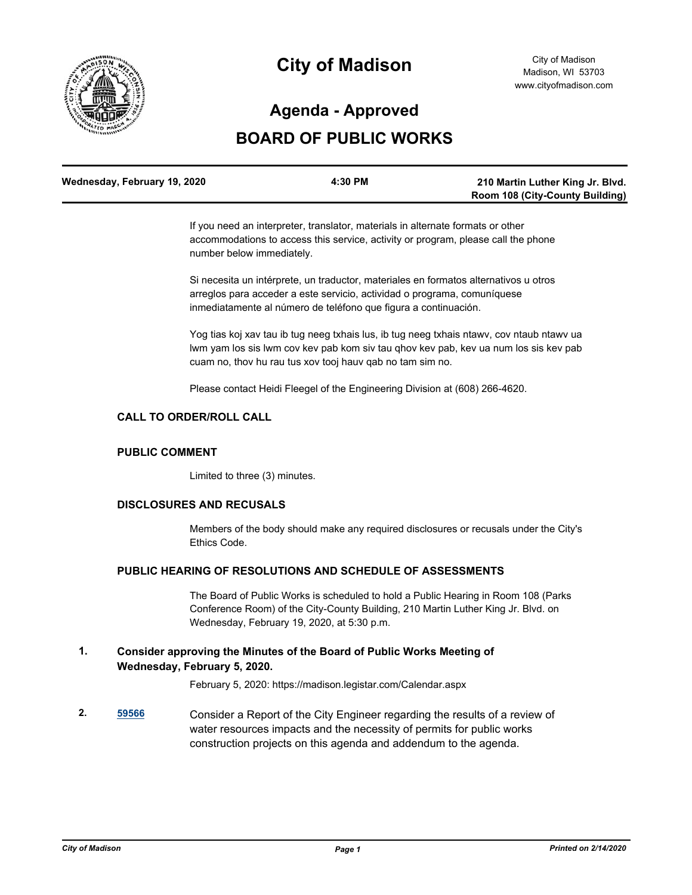

# **City of Madison**

# **Agenda - Approved**

## **BOARD OF PUBLIC WORKS**

| Wednesday, February 19, 2020 | 4:30 PM | 210 Martin Luther King Jr. Blvd.       |
|------------------------------|---------|----------------------------------------|
|                              |         | <b>Room 108 (City-County Building)</b> |

If you need an interpreter, translator, materials in alternate formats or other accommodations to access this service, activity or program, please call the phone number below immediately.

Si necesita un intérprete, un traductor, materiales en formatos alternativos u otros arreglos para acceder a este servicio, actividad o programa, comuníquese inmediatamente al número de teléfono que figura a continuación.

Yog tias koj xav tau ib tug neeg txhais lus, ib tug neeg txhais ntawv, cov ntaub ntawv ua lwm yam los sis lwm cov kev pab kom siv tau qhov kev pab, kev ua num los sis kev pab cuam no, thov hu rau tus xov tooj hauv qab no tam sim no.

Please contact Heidi Fleegel of the Engineering Division at (608) 266-4620.

## **CALL TO ORDER/ROLL CALL**

#### **PUBLIC COMMENT**

Limited to three (3) minutes.

#### **DISCLOSURES AND RECUSALS**

Members of the body should make any required disclosures or recusals under the City's Ethics Code.

#### **PUBLIC HEARING OF RESOLUTIONS AND SCHEDULE OF ASSESSMENTS**

The Board of Public Works is scheduled to hold a Public Hearing in Room 108 (Parks Conference Room) of the City-County Building, 210 Martin Luther King Jr. Blvd. on Wednesday, February 19, 2020, at 5:30 p.m.

**1. Consider approving the Minutes of the Board of Public Works Meeting of Wednesday, February 5, 2020.**

February 5, 2020: https://madison.legistar.com/Calendar.aspx

**2. [59566](http://madison.legistar.com/gateway.aspx?m=l&id=/matter.aspx?key=70530)** Consider a Report of the City Engineer regarding the results of a review of water resources impacts and the necessity of permits for public works construction projects on this agenda and addendum to the agenda.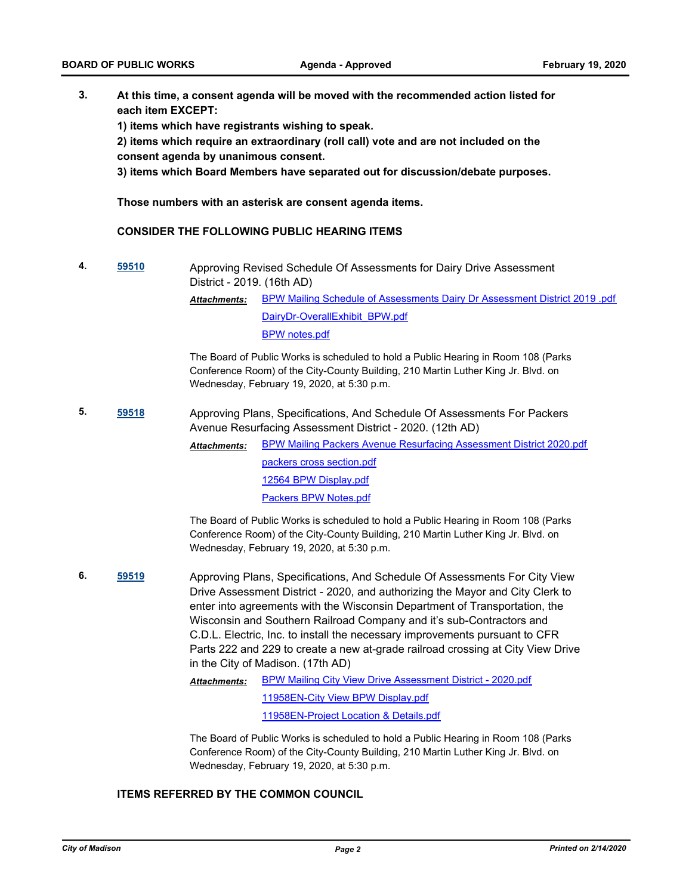**3. At this time, a consent agenda will be moved with the recommended action listed for each item EXCEPT:**

**1) items which have registrants wishing to speak.**

**2) items which require an extraordinary (roll call) vote and are not included on the consent agenda by unanimous consent.**

**3) items which Board Members have separated out for discussion/debate purposes.** 

**Those numbers with an asterisk are consent agenda items.**

#### **CONSIDER THE FOLLOWING PUBLIC HEARING ITEMS**

**4. [59510](http://madison.legistar.com/gateway.aspx?m=l&id=/matter.aspx?key=70477)** Approving Revised Schedule Of Assessments for Dairy Drive Assessment District - 2019. (16th AD)

> [BPW Mailing Schedule of Assessments Dairy Dr Assessment District 2019 .pdf](http://madison.legistar.com/gateway.aspx?M=F&ID=a8507489-5353-45c3-a59b-a1c67250e445.pdf) [DairyDr-OverallExhibit\\_BPW.pdf](http://madison.legistar.com/gateway.aspx?M=F&ID=7cd778cb-878e-4703-98fd-403df0c2b7ff.pdf) [BPW notes.pdf](http://madison.legistar.com/gateway.aspx?M=F&ID=c5685b0a-0e06-4feb-9f08-135b9e174440.pdf) *Attachments:*

The Board of Public Works is scheduled to hold a Public Hearing in Room 108 (Parks Conference Room) of the City-County Building, 210 Martin Luther King Jr. Blvd. on Wednesday, February 19, 2020, at 5:30 p.m.

**5. [59518](http://madison.legistar.com/gateway.aspx?m=l&id=/matter.aspx?key=70485)** Approving Plans, Specifications, And Schedule Of Assessments For Packers Avenue Resurfacing Assessment District - 2020. (12th AD)

> [BPW Mailing Packers Avenue Resurfacing Assessment District 2020.pdf](http://madison.legistar.com/gateway.aspx?M=F&ID=80b8ecb1-c173-4fed-b996-fb3e649bf014.pdf) [packers cross section.pdf](http://madison.legistar.com/gateway.aspx?M=F&ID=ef228c93-64ef-4fef-8dfb-8b69fccbb422.pdf) [12564 BPW Display.pdf](http://madison.legistar.com/gateway.aspx?M=F&ID=18d51ff7-1c75-4687-8e74-537c1da69633.pdf) *Attachments:*

> > [Packers BPW Notes.pdf](http://madison.legistar.com/gateway.aspx?M=F&ID=e5c49660-f440-495b-b877-f0cdec3b8d1b.pdf)

The Board of Public Works is scheduled to hold a Public Hearing in Room 108 (Parks Conference Room) of the City-County Building, 210 Martin Luther King Jr. Blvd. on Wednesday, February 19, 2020, at 5:30 p.m.

**6. [59519](http://madison.legistar.com/gateway.aspx?m=l&id=/matter.aspx?key=70486)** Approving Plans, Specifications, And Schedule Of Assessments For City View Drive Assessment District - 2020, and authorizing the Mayor and City Clerk to enter into agreements with the Wisconsin Department of Transportation, the Wisconsin and Southern Railroad Company and it's sub-Contractors and C.D.L. Electric, Inc. to install the necessary improvements pursuant to CFR Parts 222 and 229 to create a new at-grade railroad crossing at City View Drive in the City of Madison. (17th AD)

> [BPW Mailing City View Drive Assessment District - 2020.pdf](http://madison.legistar.com/gateway.aspx?M=F&ID=8bf13a5b-b87e-4446-8508-c512e2d56f49.pdf) [11958EN-City View BPW Display.pdf](http://madison.legistar.com/gateway.aspx?M=F&ID=961793f4-71b4-4f6c-91bb-e354365528c8.pdf) [11958EN-Project Location & Details.pdf](http://madison.legistar.com/gateway.aspx?M=F&ID=3b9cc85f-01dc-4447-a385-42fbaff1acc7.pdf) *Attachments:*

The Board of Public Works is scheduled to hold a Public Hearing in Room 108 (Parks Conference Room) of the City-County Building, 210 Martin Luther King Jr. Blvd. on Wednesday, February 19, 2020, at 5:30 p.m.

#### **ITEMS REFERRED BY THE COMMON COUNCIL**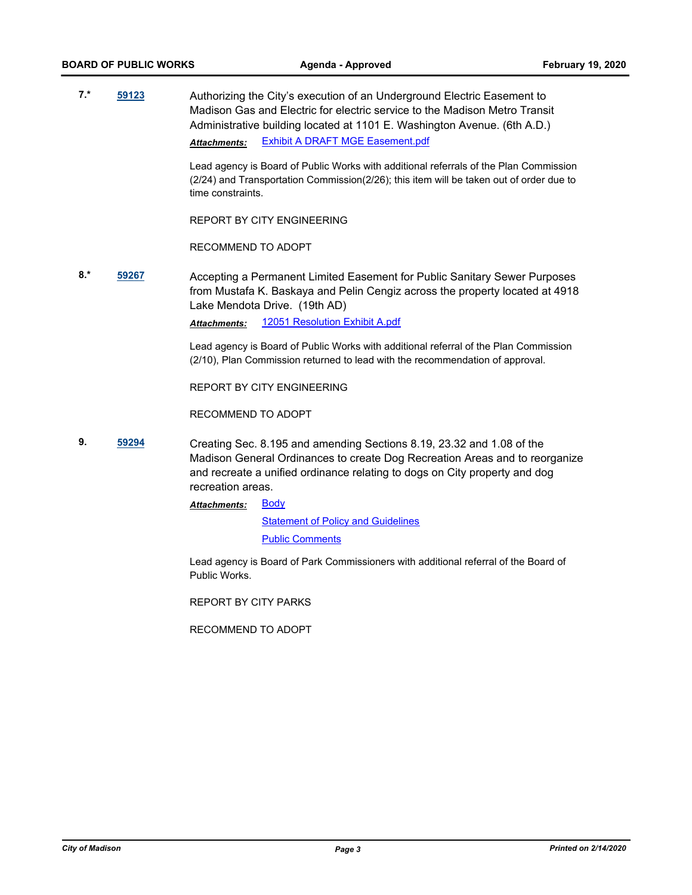**7.\* [59123](http://madison.legistar.com/gateway.aspx?m=l&id=/matter.aspx?key=70180)** Authorizing the City's execution of an Underground Electric Easement to Madison Gas and Electric for electric service to the Madison Metro Transit Administrative building located at 1101 E. Washington Avenue. (6th A.D.) *Attachments:* [Exhibit A DRAFT MGE Easement.pdf](http://madison.legistar.com/gateway.aspx?M=F&ID=39e88676-dd84-4383-83bb-e7e2a4eb9f2d.pdf)

> Lead agency is Board of Public Works with additional referrals of the Plan Commission (2/24) and Transportation Commission(2/26); this item will be taken out of order due to time constraints.

REPORT BY CITY ENGINEERING

RECOMMEND TO ADOPT

**8.\* [59267](http://madison.legistar.com/gateway.aspx?m=l&id=/matter.aspx?key=70275)** Accepting a Permanent Limited Easement for Public Sanitary Sewer Purposes from Mustafa K. Baskaya and Pelin Cengiz across the property located at 4918 Lake Mendota Drive. (19th AD)

*Attachments:* [12051 Resolution Exhibit A.pdf](http://madison.legistar.com/gateway.aspx?M=F&ID=5b78a8e3-ca99-4ca9-b172-32ef5428d680.pdf)

Lead agency is Board of Public Works with additional referral of the Plan Commission (2/10), Plan Commission returned to lead with the recommendation of approval.

REPORT BY CITY ENGINEERING

RECOMMEND TO ADOPT

**9. [59294](http://madison.legistar.com/gateway.aspx?m=l&id=/matter.aspx?key=70299)** Creating Sec. 8.195 and amending Sections 8.19, 23.32 and 1.08 of the Madison General Ordinances to create Dog Recreation Areas and to reorganize and recreate a unified ordinance relating to dogs on City property and dog recreation areas.

> [Body](http://madison.legistar.com/gateway.aspx?M=F&ID=c8fc8a46-a8e3-40df-b88a-1dc208ee48c1.pdf) **[Statement of Policy and Guidelines](http://madison.legistar.com/gateway.aspx?M=F&ID=98e8cd5d-e26a-4960-b635-28cbfbf21118.pdf)** [Public Comments](http://madison.legistar.com/gateway.aspx?M=F&ID=db4a00e7-c229-499b-a982-4392bf1ea9a8.pdf) *Attachments:*

Lead agency is Board of Park Commissioners with additional referral of the Board of Public Works.

REPORT BY CITY PARKS

RECOMMEND TO ADOPT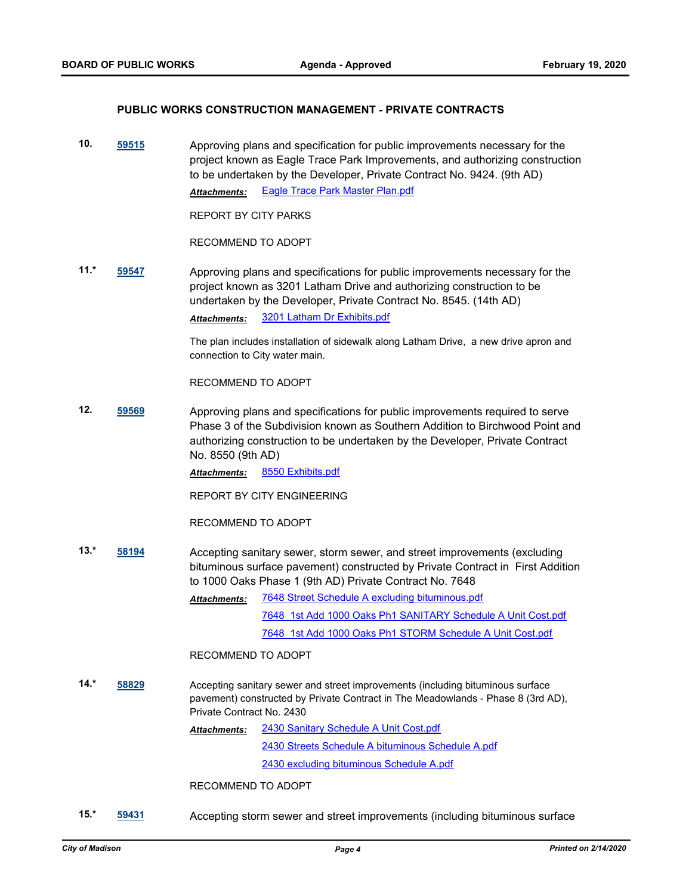#### **PUBLIC WORKS CONSTRUCTION MANAGEMENT - PRIVATE CONTRACTS**

**10. [59515](http://madison.legistar.com/gateway.aspx?m=l&id=/matter.aspx?key=70482)** Approving plans and specification for public improvements necessary for the project known as Eagle Trace Park Improvements, and authorizing construction to be undertaken by the Developer, Private Contract No. 9424. (9th AD) *Attachments:* [Eagle Trace Park Master Plan.pdf](http://madison.legistar.com/gateway.aspx?M=F&ID=34bc20f6-5ab1-4dab-a8d1-e626b4920bc1.pdf)

REPORT BY CITY PARKS

RECOMMEND TO ADOPT

**11.\* [59547](http://madison.legistar.com/gateway.aspx?m=l&id=/matter.aspx?key=70511)** Approving plans and specifications for public improvements necessary for the project known as 3201 Latham Drive and authorizing construction to be undertaken by the Developer, Private Contract No. 8545. (14th AD) *Attachments:* [3201 Latham Dr Exhibits.pdf](http://madison.legistar.com/gateway.aspx?M=F&ID=bbec0d40-c439-4fa6-8579-f770df801540.pdf)

> The plan includes installation of sidewalk along Latham Drive, a new drive apron and connection to City water main.

RECOMMEND TO ADOPT

**12. [59569](http://madison.legistar.com/gateway.aspx?m=l&id=/matter.aspx?key=70533)** Approving plans and specifications for public improvements required to serve Phase 3 of the Subdivision known as Southern Addition to Birchwood Point and authorizing construction to be undertaken by the Developer, Private Contract No. 8550 (9th AD)

*Attachments:* [8550 Exhibits.pdf](http://madison.legistar.com/gateway.aspx?M=F&ID=3207462b-259e-4d46-a029-cf39d7babfe3.pdf)

REPORT BY CITY ENGINEERING

RECOMMEND TO ADOPT

- **13.\* [58194](http://madison.legistar.com/gateway.aspx?m=l&id=/matter.aspx?key=69427)** Accepting sanitary sewer, storm sewer, and street improvements (excluding bituminous surface pavement) constructed by Private Contract in First Addition to 1000 Oaks Phase 1 (9th AD) Private Contract No. 7648
	- [7648 Street Schedule A excluding bituminous.pdf](http://madison.legistar.com/gateway.aspx?M=F&ID=408771db-5f20-4e11-a57c-e25268e0af43.pdf) [7648\\_1st Add 1000 Oaks Ph1 SANITARY Schedule A Unit Cost.pdf](http://madison.legistar.com/gateway.aspx?M=F&ID=60088df9-bc49-4be7-b48f-f884480388a0.pdf) [7648\\_1st Add 1000 Oaks Ph1 STORM Schedule A Unit Cost.pdf](http://madison.legistar.com/gateway.aspx?M=F&ID=c9275f80-09b5-48ce-ba44-8fae49e9d1cf.pdf) *Attachments:*

RECOMMEND TO ADOPT

**14.\* [58829](http://madison.legistar.com/gateway.aspx?m=l&id=/matter.aspx?key=69945)** Accepting sanitary sewer and street improvements (including bituminous surface pavement) constructed by Private Contract in The Meadowlands - Phase 8 (3rd AD), Private Contract No. 2430

> [2430 Sanitary Schedule A Unit Cost.pdf](http://madison.legistar.com/gateway.aspx?M=F&ID=1a1c9863-a266-4350-9913-3e73039283e6.pdf) [2430 Streets Schedule A bituminous Schedule A.pdf](http://madison.legistar.com/gateway.aspx?M=F&ID=04b8188b-b81d-4ba6-baad-1ad81c7d4258.pdf) [2430 excluding bituminous Schedule A.pdf](http://madison.legistar.com/gateway.aspx?M=F&ID=b385a0f3-6984-4e4e-a0f5-d656c30852a0.pdf) *Attachments:*

RECOMMEND TO ADOPT

**15.\* [59431](http://madison.legistar.com/gateway.aspx?m=l&id=/matter.aspx?key=70420)** Accepting storm sewer and street improvements (including bituminous surface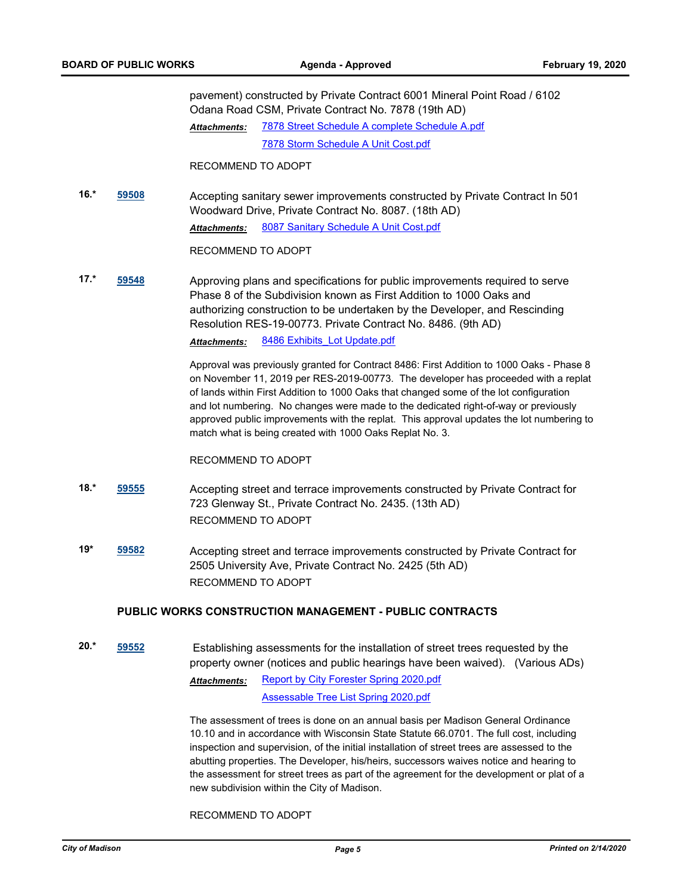pavement) constructed by Private Contract 6001 Mineral Point Road / 6102 Odana Road CSM, Private Contract No. 7878 (19th AD) [7878 Street Schedule A complete Schedule A.pdf](http://madison.legistar.com/gateway.aspx?M=F&ID=cb697e66-328f-4510-8210-d6ccbd69622e.pdf) [7878 Storm Schedule A Unit Cost.pdf](http://madison.legistar.com/gateway.aspx?M=F&ID=1803e5d7-ad5d-4e36-937b-ffd118e87685.pdf) *Attachments:*

RECOMMEND TO ADOPT

**16.\* [59508](http://madison.legistar.com/gateway.aspx?m=l&id=/matter.aspx?key=70475)** Accepting sanitary sewer improvements constructed by Private Contract In 501 Woodward Drive, Private Contract No. 8087. (18th AD) Attachments: [8087 Sanitary Schedule A Unit Cost.pdf](http://madison.legistar.com/gateway.aspx?M=F&ID=5ab33bf5-cd71-4b4d-9dd5-5f5a5975efe4.pdf)

RECOMMEND TO ADOPT

**17.\* [59548](http://madison.legistar.com/gateway.aspx?m=l&id=/matter.aspx?key=70512)** Approving plans and specifications for public improvements required to serve Phase 8 of the Subdivision known as First Addition to 1000 Oaks and authorizing construction to be undertaken by the Developer, and Rescinding Resolution RES-19-00773. Private Contract No. 8486. (9th AD) *Attachments:* [8486 Exhibits\\_Lot Update.pdf](http://madison.legistar.com/gateway.aspx?M=F&ID=566016fa-07c5-4cdd-8a6e-56bb939b8b58.pdf)

> Approval was previously granted for Contract 8486: First Addition to 1000 Oaks - Phase 8 on November 11, 2019 per RES-2019-00773. The developer has proceeded with a replat of lands within First Addition to 1000 Oaks that changed some of the lot configuration and lot numbering. No changes were made to the dedicated right-of-way or previously approved public improvements with the replat. This approval updates the lot numbering to match what is being created with 1000 Oaks Replat No. 3.

RECOMMEND TO ADOPT

- **18.\* [59555](http://madison.legistar.com/gateway.aspx?m=l&id=/matter.aspx?key=70519)** Accepting street and terrace improvements constructed by Private Contract for 723 Glenway St., Private Contract No. 2435. (13th AD) RECOMMEND TO ADOPT
- **19\* [59582](http://madison.legistar.com/gateway.aspx?m=l&id=/matter.aspx?key=70546)** Accepting street and terrace improvements constructed by Private Contract for 2505 University Ave, Private Contract No. 2425 (5th AD) RECOMMEND TO ADOPT

#### **PUBLIC WORKS CONSTRUCTION MANAGEMENT - PUBLIC CONTRACTS**

**20.\* [59552](http://madison.legistar.com/gateway.aspx?m=l&id=/matter.aspx?key=70516)** Establishing assessments for the installation of street trees requested by the property owner (notices and public hearings have been waived). (Various ADs) [Report by City Forester Spring 2020.pdf](http://madison.legistar.com/gateway.aspx?M=F&ID=f4d352f5-41be-457e-95ba-3627b19c3c4d.pdf) [Assessable Tree List Spring 2020.pdf](http://madison.legistar.com/gateway.aspx?M=F&ID=25faae56-9a03-49a9-8a23-d71cb54ab5e8.pdf) *Attachments:*

> The assessment of trees is done on an annual basis per Madison General Ordinance 10.10 and in accordance with Wisconsin State Statute 66.0701. The full cost, including inspection and supervision, of the initial installation of street trees are assessed to the abutting properties. The Developer, his/heirs, successors waives notice and hearing to the assessment for street trees as part of the agreement for the development or plat of a new subdivision within the City of Madison.

RECOMMEND TO ADOPT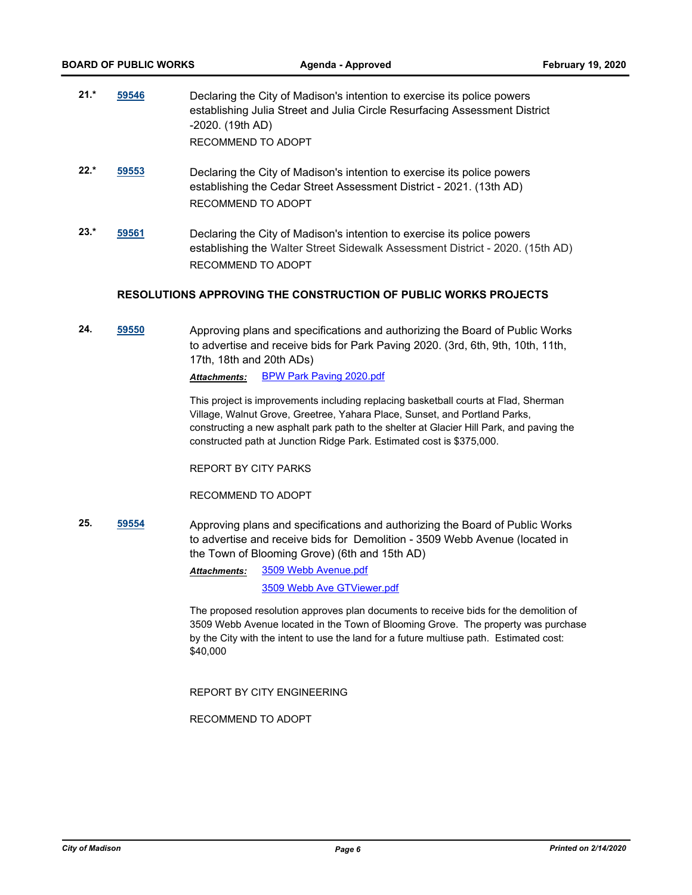| $21.*$ | 59546 | Declaring the City of Madison's intention to exercise its police powers    |
|--------|-------|----------------------------------------------------------------------------|
|        |       | establishing Julia Street and Julia Circle Resurfacing Assessment District |
|        |       | -2020. (19th AD)                                                           |
|        |       | RECOMMEND TO ADOPT                                                         |

- **22.\* [59553](http://madison.legistar.com/gateway.aspx?m=l&id=/matter.aspx?key=70517)** Declaring the City of Madison's intention to exercise its police powers establishing the Cedar Street Assessment District - 2021. (13th AD) RECOMMEND TO ADOPT
- **23.\* [59561](http://madison.legistar.com/gateway.aspx?m=l&id=/matter.aspx?key=70525)** Declaring the City of Madison's intention to exercise its police powers establishing the Walter Street Sidewalk Assessment District - 2020. (15th AD) RECOMMEND TO ADOPT

#### **RESOLUTIONS APPROVING THE CONSTRUCTION OF PUBLIC WORKS PROJECTS**

**24. [59550](http://madison.legistar.com/gateway.aspx?m=l&id=/matter.aspx?key=70514)** Approving plans and specifications and authorizing the Board of Public Works to advertise and receive bids for Park Paving 2020. (3rd, 6th, 9th, 10th, 11th, 17th, 18th and 20th ADs)

*Attachments:* [BPW Park Paving 2020.pdf](http://madison.legistar.com/gateway.aspx?M=F&ID=bf0ad2fd-fe1b-49cb-bc78-7670e2a0fdcc.pdf)

This project is improvements including replacing basketball courts at Flad, Sherman Village, Walnut Grove, Greetree, Yahara Place, Sunset, and Portland Parks, constructing a new asphalt park path to the shelter at Glacier Hill Park, and paving the constructed path at Junction Ridge Park. Estimated cost is \$375,000.

REPORT BY CITY PARKS

RECOMMEND TO ADOPT

**25. [59554](http://madison.legistar.com/gateway.aspx?m=l&id=/matter.aspx?key=70518)** Approving plans and specifications and authorizing the Board of Public Works to advertise and receive bids for Demolition - 3509 Webb Avenue (located in the Town of Blooming Grove) (6th and 15th AD)

> [3509 Webb Avenue.pdf](http://madison.legistar.com/gateway.aspx?M=F&ID=56e84165-019d-4d06-8dd8-4ffe2e4deb86.pdf) *Attachments:*

> > [3509 Webb Ave GTViewer.pdf](http://madison.legistar.com/gateway.aspx?M=F&ID=6a29ddc2-6e6f-47de-a80b-fe0b0cdb9cb3.pdf)

The proposed resolution approves plan documents to receive bids for the demolition of 3509 Webb Avenue located in the Town of Blooming Grove. The property was purchase by the City with the intent to use the land for a future multiuse path. Estimated cost: \$40,000

REPORT BY CITY ENGINEERING

RECOMMEND TO ADOPT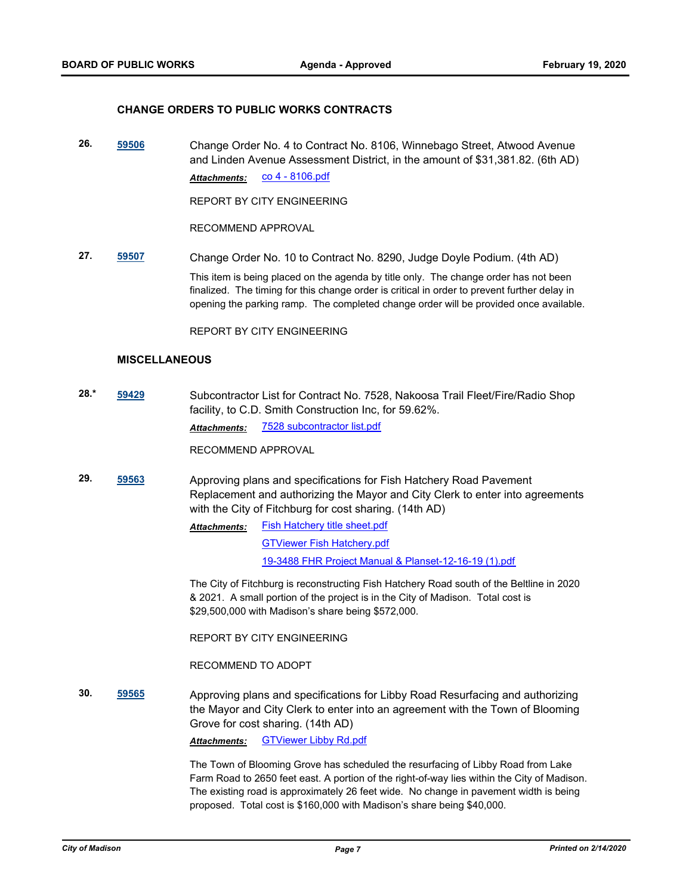#### **CHANGE ORDERS TO PUBLIC WORKS CONTRACTS**

**26. [59506](http://madison.legistar.com/gateway.aspx?m=l&id=/matter.aspx?key=70473)** Change Order No. 4 to Contract No. 8106, Winnebago Street, Atwood Avenue and Linden Avenue Assessment District, in the amount of \$31,381.82. (6th AD) Attachments: CO 4 - 8106.pdf

REPORT BY CITY ENGINEERING

RECOMMEND APPROVAL

**27. [59507](http://madison.legistar.com/gateway.aspx?m=l&id=/matter.aspx?key=70474)** Change Order No. 10 to Contract No. 8290, Judge Doyle Podium. (4th AD) This item is being placed on the agenda by title only. The change order has not been finalized. The timing for this change order is critical in order to prevent further delay in opening the parking ramp. The completed change order will be provided once available.

REPORT BY CITY ENGINEERING

#### **MISCELLANEOUS**

**28.\* [59429](http://madison.legistar.com/gateway.aspx?m=l&id=/matter.aspx?key=70418)** Subcontractor List for Contract No. 7528, Nakoosa Trail Fleet/Fire/Radio Shop facility, to C.D. Smith Construction Inc, for 59.62%.

*Attachments:* [7528 subcontractor list.pdf](http://madison.legistar.com/gateway.aspx?M=F&ID=e650cee3-2fdf-4385-b5fa-f24d44695c78.pdf)

RECOMMEND APPROVAL

- **29. [59563](http://madison.legistar.com/gateway.aspx?m=l&id=/matter.aspx?key=70527)** Approving plans and specifications for Fish Hatchery Road Pavement Replacement and authorizing the Mayor and City Clerk to enter into agreements with the City of Fitchburg for cost sharing. (14th AD)
	- [Fish Hatchery title sheet.pdf](http://madison.legistar.com/gateway.aspx?M=F&ID=75a95b0b-b9e6-482a-899a-af93fcb57d72.pdf) [GTViewer Fish Hatchery.pdf](http://madison.legistar.com/gateway.aspx?M=F&ID=9c43c53e-ba60-4629-9642-d6789b34d3a9.pdf) [19-3488 FHR Project Manual & Planset-12-16-19 \(1\).pdf](http://madison.legistar.com/gateway.aspx?M=F&ID=49f50792-029b-4f85-8e07-b060418f76c1.pdf) *Attachments:*

The City of Fitchburg is reconstructing Fish Hatchery Road south of the Beltline in 2020 & 2021. A small portion of the project is in the City of Madison. Total cost is \$29,500,000 with Madison's share being \$572,000.

REPORT BY CITY ENGINEERING

RECOMMEND TO ADOPT

**30. [59565](http://madison.legistar.com/gateway.aspx?m=l&id=/matter.aspx?key=70529)** Approving plans and specifications for Libby Road Resurfacing and authorizing the Mayor and City Clerk to enter into an agreement with the Town of Blooming Grove for cost sharing. (14th AD)

*Attachments:* [GTViewer Libby Rd.pdf](http://madison.legistar.com/gateway.aspx?M=F&ID=c6ed9795-ca61-4deb-be80-94dbadc51323.pdf)

The Town of Blooming Grove has scheduled the resurfacing of Libby Road from Lake Farm Road to 2650 feet east. A portion of the right-of-way lies within the City of Madison. The existing road is approximately 26 feet wide. No change in pavement width is being proposed. Total cost is \$160,000 with Madison's share being \$40,000.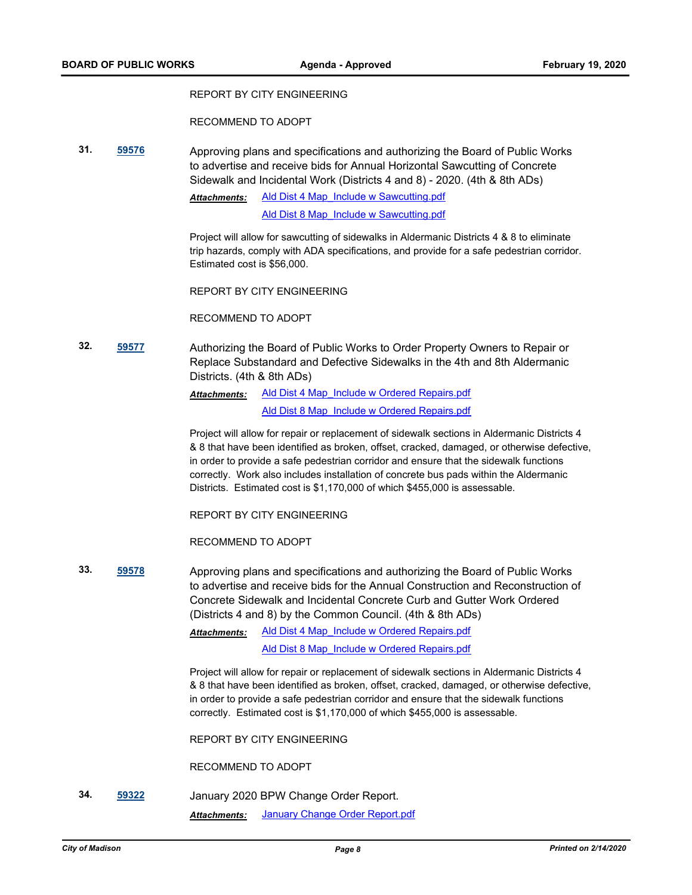#### REPORT BY CITY ENGINEERING

RECOMMEND TO ADOPT

**31. [59576](http://madison.legistar.com/gateway.aspx?m=l&id=/matter.aspx?key=70540)** Approving plans and specifications and authorizing the Board of Public Works to advertise and receive bids for Annual Horizontal Sawcutting of Concrete Sidewalk and Incidental Work (Districts 4 and 8) - 2020. (4th & 8th ADs)

> [Ald Dist 4 Map\\_Include w Sawcutting.pdf](http://madison.legistar.com/gateway.aspx?M=F&ID=46e362ac-018a-4d60-8dd2-220145e88916.pdf) *Attachments:*

> > [Ald Dist 8 Map\\_Include w Sawcutting.pdf](http://madison.legistar.com/gateway.aspx?M=F&ID=17237c01-40f4-42bb-a1f2-65e09961ff20.pdf)

Project will allow for sawcutting of sidewalks in Aldermanic Districts 4 & 8 to eliminate trip hazards, comply with ADA specifications, and provide for a safe pedestrian corridor. Estimated cost is \$56,000.

REPORT BY CITY ENGINEERING

RECOMMEND TO ADOPT

**32. [59577](http://madison.legistar.com/gateway.aspx?m=l&id=/matter.aspx?key=70541)** Authorizing the Board of Public Works to Order Property Owners to Repair or Replace Substandard and Defective Sidewalks in the 4th and 8th Aldermanic Districts. (4th & 8th ADs)

> [Ald Dist 4 Map\\_Include w Ordered Repairs.pdf](http://madison.legistar.com/gateway.aspx?M=F&ID=db5ea86b-1195-4028-acc6-2b32700a3bcf.pdf) [Ald Dist 8 Map\\_Include w Ordered Repairs.pdf](http://madison.legistar.com/gateway.aspx?M=F&ID=c8ebbc5a-7d26-495b-9588-cb453f10299a.pdf) *Attachments:*

Project will allow for repair or replacement of sidewalk sections in Aldermanic Districts 4 & 8 that have been identified as broken, offset, cracked, damaged, or otherwise defective, in order to provide a safe pedestrian corridor and ensure that the sidewalk functions correctly. Work also includes installation of concrete bus pads within the Aldermanic Districts. Estimated cost is \$1,170,000 of which \$455,000 is assessable.

REPORT BY CITY ENGINEERING

RECOMMEND TO ADOPT

**33. [59578](http://madison.legistar.com/gateway.aspx?m=l&id=/matter.aspx?key=70542)** Approving plans and specifications and authorizing the Board of Public Works to advertise and receive bids for the Annual Construction and Reconstruction of Concrete Sidewalk and Incidental Concrete Curb and Gutter Work Ordered (Districts 4 and 8) by the Common Council. (4th & 8th ADs)

> Ald Dist 4 Map Include w Ordered Repairs.pdf [Ald Dist 8 Map\\_Include w Ordered Repairs.pdf](http://madison.legistar.com/gateway.aspx?M=F&ID=f07dcb5c-4def-4061-ad6e-c2ea19363e56.pdf) *Attachments:*

Project will allow for repair or replacement of sidewalk sections in Aldermanic Districts 4 & 8 that have been identified as broken, offset, cracked, damaged, or otherwise defective, in order to provide a safe pedestrian corridor and ensure that the sidewalk functions correctly. Estimated cost is \$1,170,000 of which \$455,000 is assessable.

REPORT BY CITY ENGINEERING

RECOMMEND TO ADOPT

**34. [59322](http://madison.legistar.com/gateway.aspx?m=l&id=/matter.aspx?key=70327)** January 2020 BPW Change Order Report. *Attachments:* [January Change Order Report.pdf](http://madison.legistar.com/gateway.aspx?M=F&ID=cadc6304-9da0-4d47-b0d4-d59d6bfeedcb.pdf)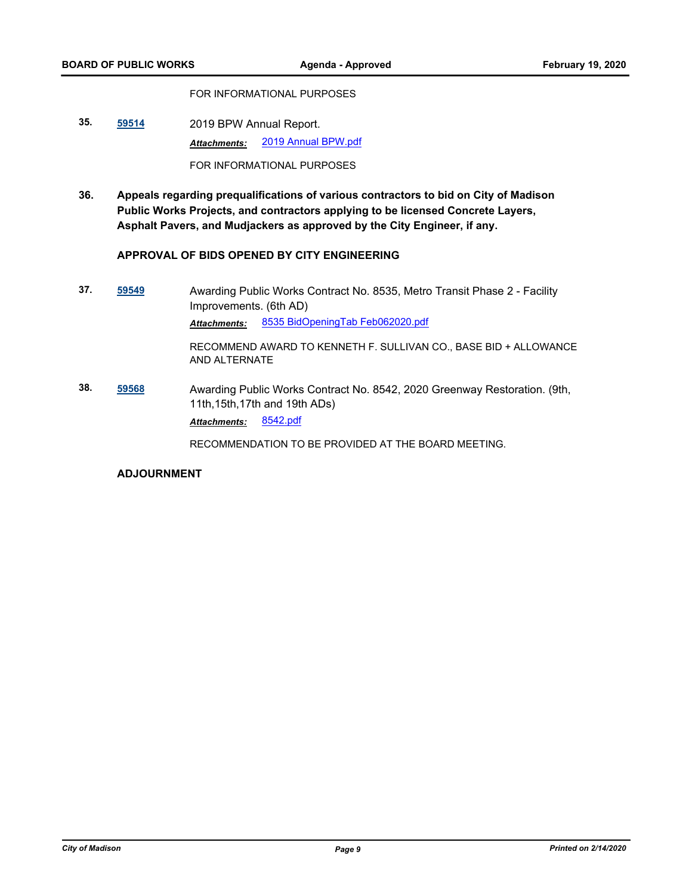FOR INFORMATIONAL PURPOSES

**35. [59514](http://madison.legistar.com/gateway.aspx?m=l&id=/matter.aspx?key=70481)** 2019 BPW Annual Report. *Attachments:* [2019 Annual BPW.pdf](http://madison.legistar.com/gateway.aspx?M=F&ID=81f3fe44-7cec-45b0-afc4-de6708d70160.pdf)

FOR INFORMATIONAL PURPOSES

**36. Appeals regarding prequalifications of various contractors to bid on City of Madison Public Works Projects, and contractors applying to be licensed Concrete Layers, Asphalt Pavers, and Mudjackers as approved by the City Engineer, if any.**

#### **APPROVAL OF BIDS OPENED BY CITY ENGINEERING**

- **37. [59549](http://madison.legistar.com/gateway.aspx?m=l&id=/matter.aspx?key=70513)** Awarding Public Works Contract No. 8535, Metro Transit Phase 2 Facility Improvements. (6th AD) *Attachments:* [8535 BidOpeningTab Feb062020.pdf](http://madison.legistar.com/gateway.aspx?M=F&ID=2f211f73-6601-4e37-8f18-9614fcbe9b12.pdf) RECOMMEND AWARD TO KENNETH F. SULLIVAN CO., BASE BID + ALLOWANCE AND ALTERNATE **38. [59568](http://madison.legistar.com/gateway.aspx?m=l&id=/matter.aspx?key=70532)** Awarding Public Works Contract No. 8542, 2020 Greenway Restoration. (9th,
- 11th,15th,17th and 19th ADs) *Attachments:* [8542.pdf](http://madison.legistar.com/gateway.aspx?M=F&ID=eabc53bf-cd7c-40bb-9956-d32503b811ac.pdf)

RECOMMENDATION TO BE PROVIDED AT THE BOARD MEETING.

### **ADJOURNMENT**